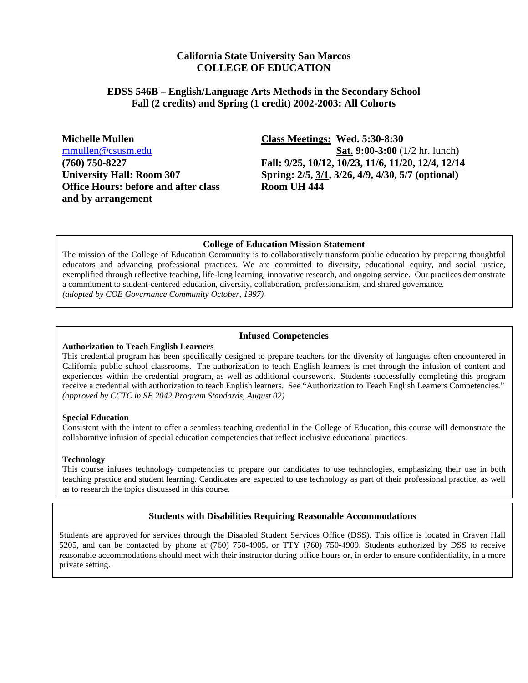#### **California State University San Marcos COLLEGE OF EDUCATION**

#### **EDSS 546B – English/Language Arts Methods in the Secondary School Fall (2 credits) and Spring (1 credit) 2002-2003: All Cohorts**

**Office Hours: before and after class Room UH 444 and by arrangement**

**Michelle Mullen Class Meetings: Wed. 5:30-8:30**  [mmullen@csusm.edu](mailto:mmullen@mailhost1.csusm.edu) **Sat. 9:00-3:00** (1/2 hr. lunch) **(760) 750-8227 Fall: 9/25, 10/12, 10/23, 11/6, 11/20, 12/4, 12/14 University Hall: Room 307 Spring: 2/5, 3/1, 3/26, 4/9, 4/30, 5/7 (optional)**

#### **College of Education Mission Statement**

The mission of the College of Education Community is to collaboratively transform public education by preparing thoughtful educators and advancing professional practices. We are committed to diversity, educational equity, and social justice, exemplified through reflective teaching, life-long learning, innovative research, and ongoing service. Our practices demonstrate a commitment to student-centered education, diversity, collaboration, professionalism, and shared governance. *(adopted by COE Governance Community October, 1997)*

#### **Infused Competencies**

#### **Authorization to Teach English Learners**

This credential program has been specifically designed to prepare teachers for the diversity of languages often encountered in California public school classrooms. The authorization to teach English learners is met through the infusion of content and experiences within the credential program, as well as additional coursework. Students successfully completing this program receive a credential with authorization to teach English learners. See "Authorization to Teach English Learners Competencies." *(approved by CCTC in SB 2042 Program Standards, August 02)* 

#### **Special Education**

Consistent with the intent to offer a seamless teaching credential in the College of Education, this course will demonstrate the collaborative infusion of special education competencies that reflect inclusive educational practices.

#### **Technology**

This course infuses technology competencies to prepare our candidates to use technologies, emphasizing their use in both teaching practice and student learning. Candidates are expected to use technology as part of their professional practice, as well as to research the topics discussed in this course.

#### **Students with Disabilities Requiring Reasonable Accommodations**

Students are approved for services through the Disabled Student Services Office (DSS). This office is located in Craven Hall 5205, and can be contacted by phone at (760) 750-4905, or TTY (760) 750-4909. Students authorized by DSS to receive reasonable accommodations should meet with their instructor during office hours or, in order to ensure confidentiality, in a more private setting.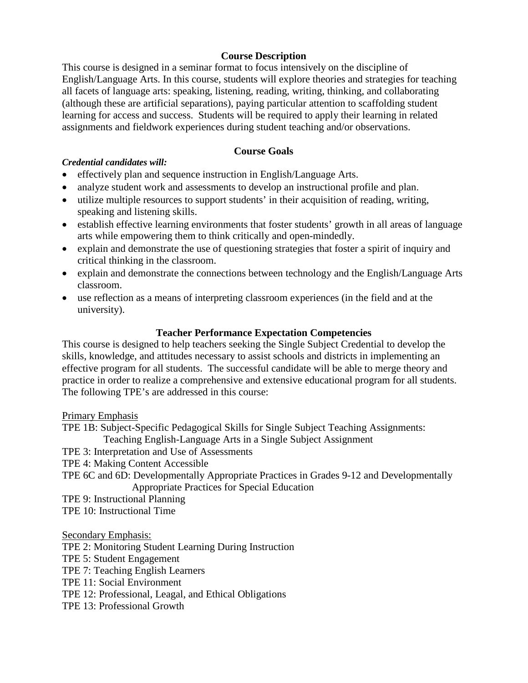### **Course Description**

This course is designed in a seminar format to focus intensively on the discipline of English/Language Arts. In this course, students will explore theories and strategies for teaching all facets of language arts: speaking, listening, reading, writing, thinking, and collaborating (although these are artificial separations), paying particular attention to scaffolding student learning for access and success. Students will be required to apply their learning in related assignments and fieldwork experiences during student teaching and/or observations.

### **Course Goals**

#### *Credential candidates will:*

- effectively plan and sequence instruction in English/Language Arts.
- analyze student work and assessments to develop an instructional profile and plan.
- utilize multiple resources to support students' in their acquisition of reading, writing, speaking and listening skills.
- establish effective learning environments that foster students' growth in all areas of language arts while empowering them to think critically and open-mindedly.
- explain and demonstrate the use of questioning strategies that foster a spirit of inquiry and critical thinking in the classroom.
- explain and demonstrate the connections between technology and the English/Language Arts classroom.
- use reflection as a means of interpreting classroom experiences (in the field and at the university).

### **Teacher Performance Expectation Competencies**

This course is designed to help teachers seeking the Single Subject Credential to develop the skills, knowledge, and attitudes necessary to assist schools and districts in implementing an effective program for all students. The successful candidate will be able to merge theory and practice in order to realize a comprehensive and extensive educational program for all students. The following TPE's are addressed in this course:

#### Primary Emphasis

TPE 1B: Subject-Specific Pedagogical Skills for Single Subject Teaching Assignments: Teaching English-Language Arts in a Single Subject Assignment

TPE 3: Interpretation and Use of Assessments

TPE 4: Making Content Accessible

TPE 6C and 6D: Developmentally Appropriate Practices in Grades 9-12 and Developmentally Appropriate Practices for Special Education

TPE 9: Instructional Planning

TPE 10: Instructional Time

#### Secondary Emphasis:

TPE 2: Monitoring Student Learning During Instruction TPE 5: Student Engagement TPE 7: Teaching English Learners TPE 11: Social Environment TPE 12: Professional, Leagal, and Ethical Obligations TPE 13: Professional Growth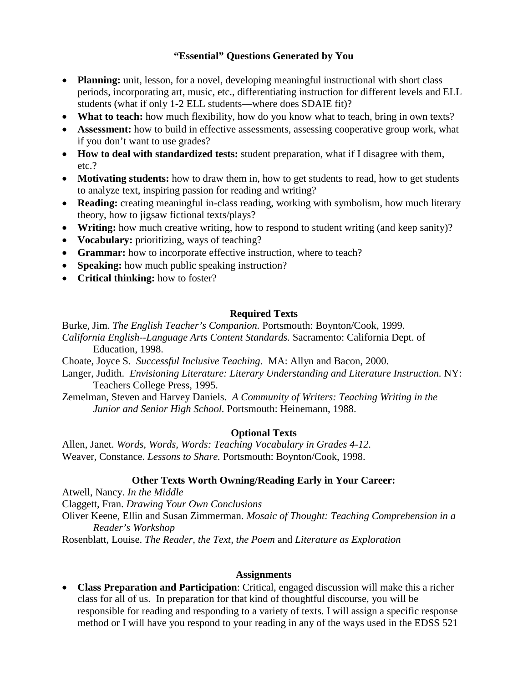### **"Essential" Questions Generated by You**

- **Planning:** unit, lesson, for a novel, developing meaningful instructional with short class periods, incorporating art, music, etc., differentiating instruction for different levels and ELL students (what if only 1-2 ELL students—where does SDAIE fit)?
- **What to teach:** how much flexibility, how do you know what to teach, bring in own texts?
- **Assessment:** how to build in effective assessments, assessing cooperative group work, what if you don't want to use grades?
- **How to deal with standardized tests:** student preparation, what if I disagree with them, etc.?
- **Motivating students:** how to draw them in, how to get students to read, how to get students to analyze text, inspiring passion for reading and writing?
- **Reading:** creating meaningful in-class reading, working with symbolism, how much literary theory, how to jigsaw fictional texts/plays?
- **Writing:** how much creative writing, how to respond to student writing (and keep sanity)?
- **Vocabulary:** prioritizing, ways of teaching?
- **Grammar:** how to incorporate effective instruction, where to teach?
- **Speaking:** how much public speaking instruction?
- **Critical thinking:** how to foster?

# **Required Texts**

Burke, Jim. *The English Teacher's Companion.* Portsmouth: Boynton/Cook, 1999. *California English--Language Arts Content Standards.* Sacramento: California Dept. of Education, 1998.

- Choate, Joyce S. *Successful Inclusive Teaching*. MA: Allyn and Bacon, 2000.
- Langer, Judith. *Envisioning Literature: Literary Understanding and Literature Instruction.* NY: Teachers College Press, 1995.
- Zemelman, Steven and Harvey Daniels. *A Community of Writers: Teaching Writing in the Junior and Senior High School.* Portsmouth: Heinemann, 1988.

# **Optional Texts**

Allen, Janet. *Words, Words, Words: Teaching Vocabulary in Grades 4-12.* Weaver, Constance. *Lessons to Share.* Portsmouth: Boynton/Cook, 1998.

# **Other Texts Worth Owning/Reading Early in Your Career:**

Atwell, Nancy. *In the Middle* Claggett, Fran. *Drawing Your Own Conclusions*  Oliver Keene, Ellin and Susan Zimmerman. *Mosaic of Thought: Teaching Comprehension in a Reader's Workshop*

Rosenblatt, Louise. *The Reader, the Text, the Poem* and *Literature as Exploration*

# **Assignments**

• **Class Preparation and Participation**: Critical, engaged discussion will make this a richer class for all of us. In preparation for that kind of thoughtful discourse, you will be responsible for reading and responding to a variety of texts. I will assign a specific response method or I will have you respond to your reading in any of the ways used in the EDSS 521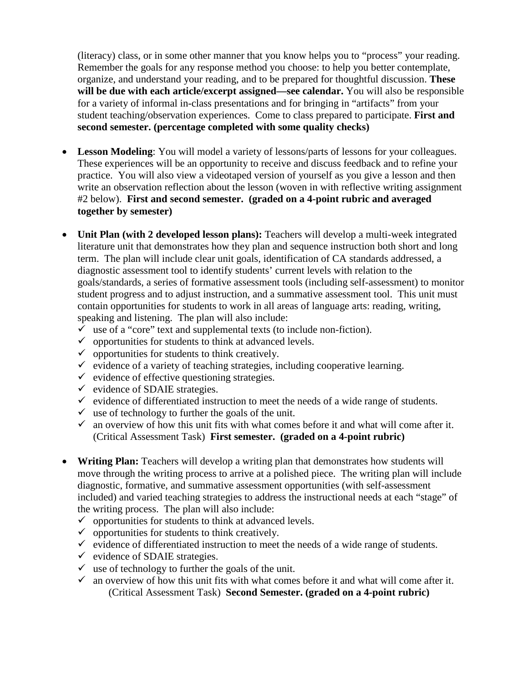(literacy) class, or in some other manner that you know helps you to "process" your reading. Remember the goals for any response method you choose: to help you better contemplate, organize, and understand your reading, and to be prepared for thoughtful discussion. **These will be due with each article/excerpt assigned—see calendar.** You will also be responsible for a variety of informal in-class presentations and for bringing in "artifacts" from your student teaching/observation experiences. Come to class prepared to participate. **First and second semester. (percentage completed with some quality checks)**

- **Lesson Modeling**: You will model a variety of lessons/parts of lessons for your colleagues. These experiences will be an opportunity to receive and discuss feedback and to refine your practice. You will also view a videotaped version of yourself as you give a lesson and then write an observation reflection about the lesson (woven in with reflective writing assignment #2 below). **First and second semester. (graded on a 4-point rubric and averaged together by semester)**
- **Unit Plan (with 2 developed lesson plans):** Teachers will develop a multi-week integrated literature unit that demonstrates how they plan and sequence instruction both short and long term. The plan will include clear unit goals, identification of CA standards addressed, a diagnostic assessment tool to identify students' current levels with relation to the goals/standards, a series of formative assessment tools (including self-assessment) to monitor student progress and to adjust instruction, and a summative assessment tool. This unit must contain opportunities for students to work in all areas of language arts: reading, writing, speaking and listening. The plan will also include:
	- $\checkmark$  use of a "core" text and supplemental texts (to include non-fiction).
	- $\checkmark$  opportunities for students to think at advanced levels.
	- $\checkmark$  opportunities for students to think creatively.
	- $\checkmark$  evidence of a variety of teaching strategies, including cooperative learning.
	- $\checkmark$  evidence of effective questioning strategies.
	- $\checkmark$  evidence of SDAIE strategies.
	- $\checkmark$  evidence of differentiated instruction to meet the needs of a wide range of students.
	- $\checkmark$  use of technology to further the goals of the unit.
	- $\checkmark$  an overview of how this unit fits with what comes before it and what will come after it. (Critical Assessment Task) **First semester. (graded on a 4-point rubric)**
- **Writing Plan:** Teachers will develop a writing plan that demonstrates how students will move through the writing process to arrive at a polished piece. The writing plan will include diagnostic, formative, and summative assessment opportunities (with self-assessment included) and varied teaching strategies to address the instructional needs at each "stage" of the writing process. The plan will also include:
	- $\checkmark$  opportunities for students to think at advanced levels.
	- $\checkmark$  opportunities for students to think creatively.
	- $\checkmark$  evidence of differentiated instruction to meet the needs of a wide range of students.
	- $\checkmark$  evidence of SDAIE strategies.
	- $\checkmark$  use of technology to further the goals of the unit.
	- $\checkmark$  an overview of how this unit fits with what comes before it and what will come after it. (Critical Assessment Task) **Second Semester. (graded on a 4-point rubric)**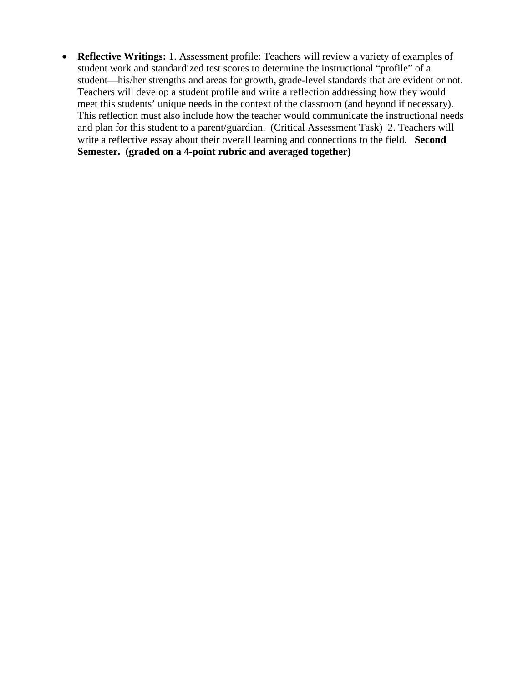• **Reflective Writings:** 1. Assessment profile: Teachers will review a variety of examples of student work and standardized test scores to determine the instructional "profile" of a student—his/her strengths and areas for growth, grade-level standards that are evident or not. Teachers will develop a student profile and write a reflection addressing how they would meet this students' unique needs in the context of the classroom (and beyond if necessary). This reflection must also include how the teacher would communicate the instructional needs and plan for this student to a parent/guardian. (Critical Assessment Task) 2. Teachers will write a reflective essay about their overall learning and connections to the field. **Second Semester. (graded on a 4-point rubric and averaged together)**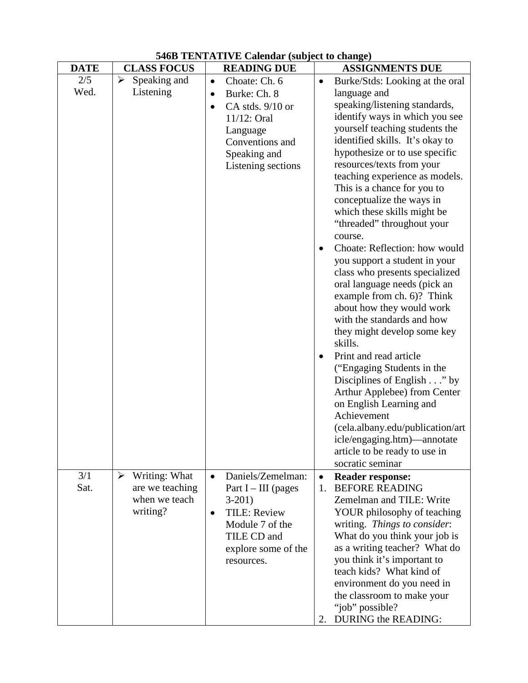| <b>DATE</b> | <b>CLASS FOCUS</b>                                                                     | <b>READING DUE</b>                                                                                                                                                            | <b>ASSIGNMENTS DUE</b>                                                                                                                                                                                                                                                                                                                                                                                                                                                                                                                                                                                                                                                                                                                                                                                                                                                                                                                                                                                             |
|-------------|----------------------------------------------------------------------------------------|-------------------------------------------------------------------------------------------------------------------------------------------------------------------------------|--------------------------------------------------------------------------------------------------------------------------------------------------------------------------------------------------------------------------------------------------------------------------------------------------------------------------------------------------------------------------------------------------------------------------------------------------------------------------------------------------------------------------------------------------------------------------------------------------------------------------------------------------------------------------------------------------------------------------------------------------------------------------------------------------------------------------------------------------------------------------------------------------------------------------------------------------------------------------------------------------------------------|
| 2/5<br>Wed. | Speaking and<br>$\blacktriangleright$<br>Listening                                     | Choate: Ch. 6<br>$\bullet$<br>Burke: Ch. 8<br>$\bullet$<br>CA stds. 9/10 or<br>$\bullet$<br>11/12: Oral<br>Language<br>Conventions and<br>Speaking and<br>Listening sections  | Burke/Stds: Looking at the oral<br>$\bullet$<br>language and<br>speaking/listening standards,<br>identify ways in which you see<br>yourself teaching students the<br>identified skills. It's okay to<br>hypothesize or to use specific<br>resources/texts from your<br>teaching experience as models.<br>This is a chance for you to<br>conceptualize the ways in<br>which these skills might be<br>"threaded" throughout your<br>course.<br>Choate: Reflection: how would<br>you support a student in your<br>class who presents specialized<br>oral language needs (pick an<br>example from ch. 6)? Think<br>about how they would work<br>with the standards and how<br>they might develop some key<br>skills.<br>Print and read article<br>("Engaging Students in the<br>Disciplines of English $\ldots$ " by<br>Arthur Applebee) from Center<br>on English Learning and<br>Achievement<br>(cela.albany.edu/publication/art<br>icle/engaging.htm)—annotate<br>article to be ready to use in<br>socratic seminar |
| 3/1<br>Sat. | Writing: What<br>$\blacktriangleright$<br>are we teaching<br>when we teach<br>writing? | Daniels/Zemelman:<br>$\bullet$<br>Part $I$ – III (pages<br>$3-201$<br><b>TILE: Review</b><br>$\bullet$<br>Module 7 of the<br>TILE CD and<br>explore some of the<br>resources. | <b>Reader response:</b><br>$\bullet$<br><b>BEFORE READING</b><br>1.<br>Zemelman and TILE: Write<br>YOUR philosophy of teaching<br>writing. Things to consider:<br>What do you think your job is<br>as a writing teacher? What do<br>you think it's important to<br>teach kids? What kind of<br>environment do you need in<br>the classroom to make your<br>"job" possible?<br>DURING the READING:<br>2.                                                                                                                                                                                                                                                                                                                                                                                                                                                                                                                                                                                                            |

# **546B TENTATIVE Calendar (subject to change)**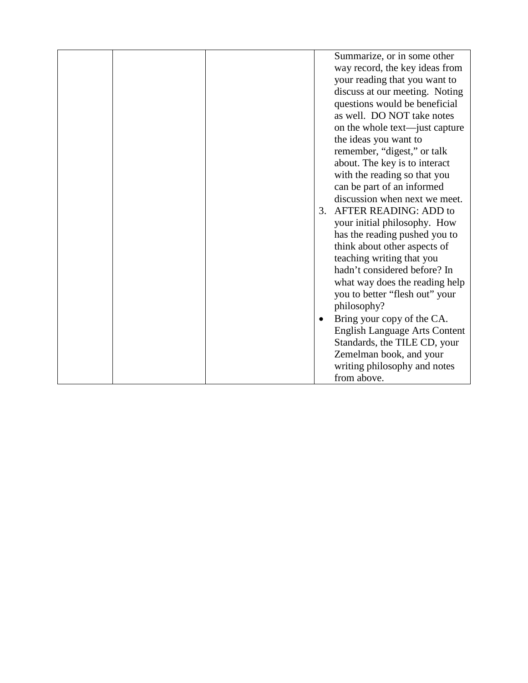|  |    | Summarize, or in some other          |
|--|----|--------------------------------------|
|  |    | way record, the key ideas from       |
|  |    | your reading that you want to        |
|  |    | discuss at our meeting. Noting       |
|  |    | questions would be beneficial        |
|  |    | as well. DO NOT take notes           |
|  |    | on the whole text—just capture       |
|  |    | the ideas you want to                |
|  |    | remember, "digest," or talk          |
|  |    | about. The key is to interact        |
|  |    | with the reading so that you         |
|  |    | can be part of an informed           |
|  |    | discussion when next we meet.        |
|  | 3. | <b>AFTER READING: ADD to</b>         |
|  |    | your initial philosophy. How         |
|  |    | has the reading pushed you to        |
|  |    | think about other aspects of         |
|  |    | teaching writing that you            |
|  |    | hadn't considered before? In         |
|  |    | what way does the reading help       |
|  |    | you to better "flesh out" your       |
|  |    | philosophy?                          |
|  |    | Bring your copy of the CA.           |
|  |    | <b>English Language Arts Content</b> |
|  |    | Standards, the TILE CD, your         |
|  |    | Zemelman book, and your              |
|  |    | writing philosophy and notes         |
|  |    | from above.                          |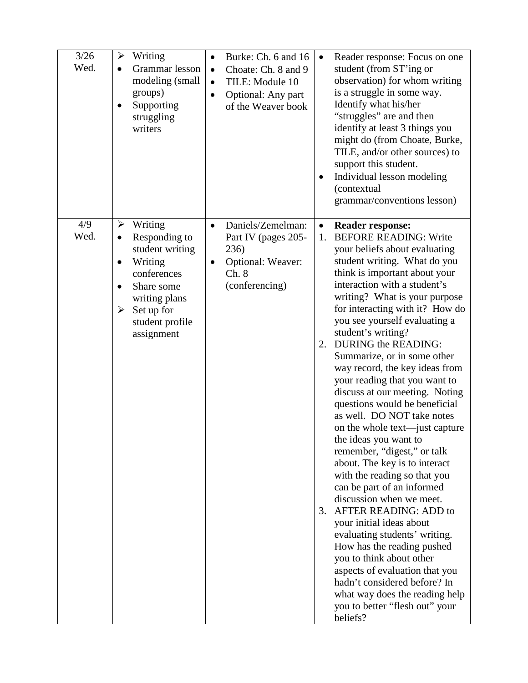| 3/26<br>Wed. | $\blacktriangleright$<br>Writing<br>Grammar lesson<br>modeling (small<br>groups)<br>Supporting<br>struggling<br>writers                                                                 | Burke: Ch. 6 and 16<br>$\bullet$<br>Choate: Ch. 8 and 9<br>$\bullet$<br>TILE: Module 10<br>$\bullet$<br>Optional: Any part<br>$\bullet$<br>of the Weaver book | Reader response: Focus on one<br>$\bullet$<br>student (from ST'ing or<br>observation) for whom writing<br>is a struggle in some way.<br>Identify what his/her<br>"struggles" are and then<br>identify at least 3 things you<br>might do (from Choate, Burke,<br>TILE, and/or other sources) to<br>support this student.<br>Individual lesson modeling<br>(contextual<br>grammar/conventions lesson)                                                                                                                                                                                                                                                                                                                                                                                                                                                                                                                                                                                                                                                                                                                |
|--------------|-----------------------------------------------------------------------------------------------------------------------------------------------------------------------------------------|---------------------------------------------------------------------------------------------------------------------------------------------------------------|--------------------------------------------------------------------------------------------------------------------------------------------------------------------------------------------------------------------------------------------------------------------------------------------------------------------------------------------------------------------------------------------------------------------------------------------------------------------------------------------------------------------------------------------------------------------------------------------------------------------------------------------------------------------------------------------------------------------------------------------------------------------------------------------------------------------------------------------------------------------------------------------------------------------------------------------------------------------------------------------------------------------------------------------------------------------------------------------------------------------|
| 4/9<br>Wed.  | Writing<br>➤<br>Responding to<br>$\bullet$<br>student writing<br>Writing<br>$\bullet$<br>conferences<br>Share some<br>writing plans<br>Set up for<br>➤<br>student profile<br>assignment | Daniels/Zemelman:<br>$\bullet$<br>Part IV (pages 205-<br>236)<br>Optional: Weaver:<br>Ch. 8<br>(conferencing)                                                 | <b>Reader response:</b><br>$\bullet$<br><b>BEFORE READING: Write</b><br>1.<br>your beliefs about evaluating<br>student writing. What do you<br>think is important about your<br>interaction with a student's<br>writing? What is your purpose<br>for interacting with it? How do<br>you see yourself evaluating a<br>student's writing?<br><b>DURING the READING:</b><br>2.<br>Summarize, or in some other<br>way record, the key ideas from<br>your reading that you want to<br>discuss at our meeting. Noting<br>questions would be beneficial<br>as well. DO NOT take notes<br>on the whole text—just capture<br>the ideas you want to<br>remember, "digest," or talk<br>about. The key is to interact<br>with the reading so that you<br>can be part of an informed<br>discussion when we meet.<br><b>AFTER READING: ADD to</b><br>3.<br>your initial ideas about<br>evaluating students' writing.<br>How has the reading pushed<br>you to think about other<br>aspects of evaluation that you<br>hadn't considered before? In<br>what way does the reading help<br>you to better "flesh out" your<br>beliefs? |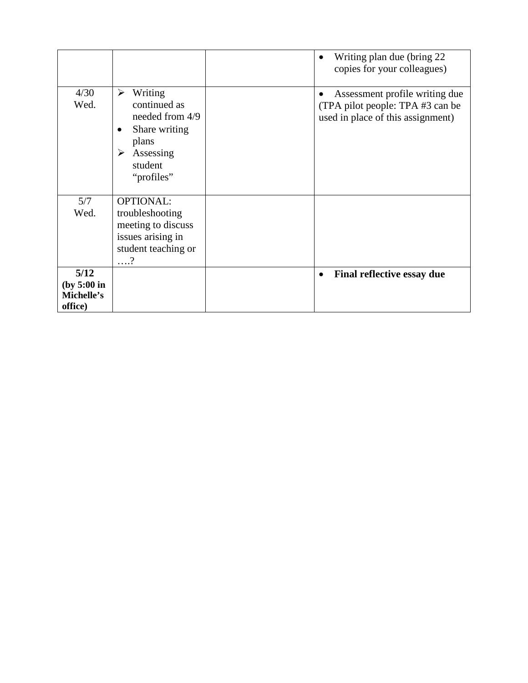|                                              |                                                                                                                                          | Writing plan due (bring 22)<br>copies for your colleagues)                                              |
|----------------------------------------------|------------------------------------------------------------------------------------------------------------------------------------------|---------------------------------------------------------------------------------------------------------|
| 4/30<br>Wed.                                 | Writing<br>➤<br>continued as<br>needed from 4/9<br>Share writing<br>plans<br>$\blacktriangleright$<br>Assessing<br>student<br>"profiles" | Assessment profile writing due<br>(TPA pilot people: TPA #3 can be<br>used in place of this assignment) |
| 5/7<br>Wed.                                  | <b>OPTIONAL:</b><br>troubleshooting<br>meeting to discuss<br>issues arising in<br>student teaching or<br>. ?                             |                                                                                                         |
| 5/12<br>(by 5:00 in<br>Michelle's<br>office) |                                                                                                                                          | Final reflective essay due<br>$\bullet$                                                                 |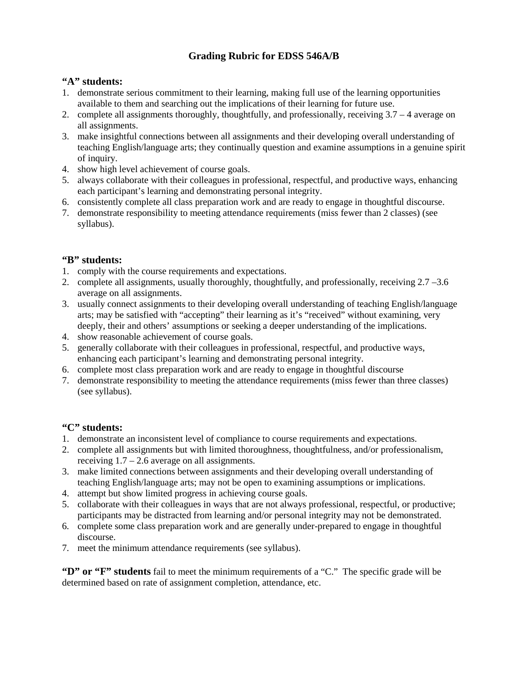# **Grading Rubric for EDSS 546A/B**

### **"A" students:**

- 1. demonstrate serious commitment to their learning, making full use of the learning opportunities available to them and searching out the implications of their learning for future use.
- 2. complete all assignments thoroughly, thoughtfully, and professionally, receiving 3.7 4 average on all assignments.
- 3. make insightful connections between all assignments and their developing overall understanding of teaching English/language arts; they continually question and examine assumptions in a genuine spirit of inquiry.
- 4. show high level achievement of course goals.
- 5. always collaborate with their colleagues in professional, respectful, and productive ways, enhancing each participant's learning and demonstrating personal integrity.
- 6. consistently complete all class preparation work and are ready to engage in thoughtful discourse.
- 7. demonstrate responsibility to meeting attendance requirements (miss fewer than 2 classes) (see syllabus).

# **"B" students:**

- 1. comply with the course requirements and expectations.
- 2. complete all assignments, usually thoroughly, thoughtfully, and professionally, receiving 2.7 –3.6 average on all assignments.
- 3. usually connect assignments to their developing overall understanding of teaching English/language arts; may be satisfied with "accepting" their learning as it's "received" without examining, very deeply, their and others' assumptions or seeking a deeper understanding of the implications.
- 4. show reasonable achievement of course goals.
- 5. generally collaborate with their colleagues in professional, respectful, and productive ways, enhancing each participant's learning and demonstrating personal integrity.
- 6. complete most class preparation work and are ready to engage in thoughtful discourse
- 7. demonstrate responsibility to meeting the attendance requirements (miss fewer than three classes) (see syllabus).

# **"C" students:**

- 1. demonstrate an inconsistent level of compliance to course requirements and expectations.
- 2. complete all assignments but with limited thoroughness, thoughtfulness, and/or professionalism, receiving  $1.7 - 2.6$  average on all assignments.
- 3. make limited connections between assignments and their developing overall understanding of teaching English/language arts; may not be open to examining assumptions or implications.
- 4. attempt but show limited progress in achieving course goals.
- 5. collaborate with their colleagues in ways that are not always professional, respectful, or productive; participants may be distracted from learning and/or personal integrity may not be demonstrated.
- 6. complete some class preparation work and are generally under-prepared to engage in thoughtful discourse.
- 7. meet the minimum attendance requirements (see syllabus).

**"D" or "F" students** fail to meet the minimum requirements of a "C." The specific grade will be determined based on rate of assignment completion, attendance, etc.